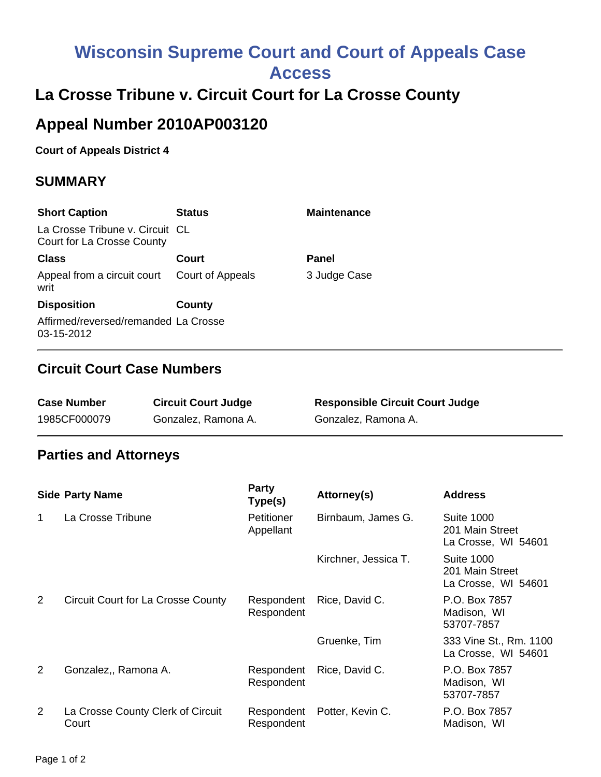# **Wisconsin Supreme Court and Court of Appeals Case Access**

# **La Crosse Tribune v. Circuit Court for La Crosse County**

## **Appeal Number 2010AP003120**

#### **Court of Appeals District 4**

#### **SUMMARY**

| <b>Short Caption</b>                                          | <b>Status</b>    | <b>Maintenance</b> |
|---------------------------------------------------------------|------------------|--------------------|
| La Crosse Tribune v. Circuit CL<br>Court for La Crosse County |                  |                    |
| <b>Class</b>                                                  | Court            | Panel              |
| Appeal from a circuit court<br>writ                           | Court of Appeals | 3 Judge Case       |
| <b>Disposition</b>                                            | County           |                    |
| Affirmed/reversed/remanded La Crosse<br>03-15-2012            |                  |                    |

#### **Circuit Court Case Numbers**

| <b>Case Number</b> | <b>Circuit Court Judge</b> | <b>Responsible Circuit Court Judge</b> |
|--------------------|----------------------------|----------------------------------------|
| 1985CF000079       | Gonzalez, Ramona A.        | Gonzalez, Ramona A.                    |

### **Parties and Attorneys**

|                | <b>Side Party Name</b>                     | <b>Party</b><br>Type(s)  | Attorney(s)          | <b>Address</b>                                              |
|----------------|--------------------------------------------|--------------------------|----------------------|-------------------------------------------------------------|
| 1              | La Crosse Tribune                          | Petitioner<br>Appellant  | Birnbaum, James G.   | <b>Suite 1000</b><br>201 Main Street<br>La Crosse, WI 54601 |
|                |                                            |                          | Kirchner, Jessica T. | <b>Suite 1000</b><br>201 Main Street<br>La Crosse, WI 54601 |
| $\overline{2}$ | <b>Circuit Court for La Crosse County</b>  | Respondent<br>Respondent | Rice, David C.       | P.O. Box 7857<br>Madison, WI<br>53707-7857                  |
|                |                                            |                          | Gruenke, Tim         | 333 Vine St., Rm. 1100<br>La Crosse, WI 54601               |
| $\overline{2}$ | Gonzalez,, Ramona A.                       | Respondent<br>Respondent | Rice, David C.       | P.O. Box 7857<br>Madison, WI<br>53707-7857                  |
| $\overline{2}$ | La Crosse County Clerk of Circuit<br>Court | Respondent<br>Respondent | Potter, Kevin C.     | P.O. Box 7857<br>Madison, WI                                |